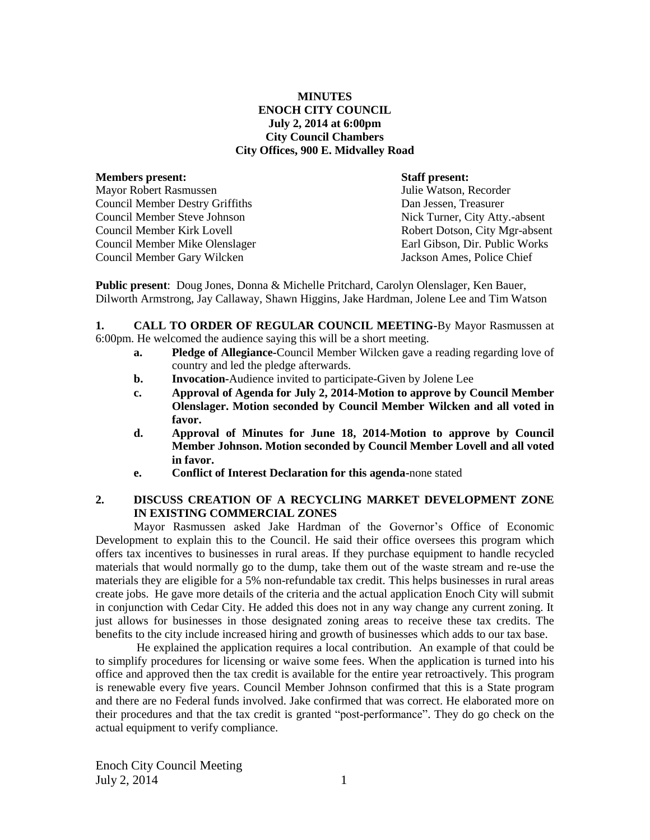## **MINUTES ENOCH CITY COUNCIL July 2, 2014 at 6:00pm City Council Chambers City Offices, 900 E. Midvalley Road**

## **Members present: Staff present:** Mayor Robert Rasmussen Council Member Destry Griffiths Dan Jessen, Treasurer Council Member Steve Johnson Nick Turner, City Atty.-absent Council Member Kirk Lovell **Robert Dotson, City Mgr-absent** Council Member Mike Olenslager Earl Gibson, Dir. Public Works Council Member Gary Wilcken Jackson Ames, Police Chief

**Public present**: Doug Jones, Donna & Michelle Pritchard, Carolyn Olenslager, Ken Bauer, Dilworth Armstrong, Jay Callaway, Shawn Higgins, Jake Hardman, Jolene Lee and Tim Watson

**1. CALL TO ORDER OF REGULAR COUNCIL MEETING-**By Mayor Rasmussen at 6:00pm. He welcomed the audience saying this will be a short meeting.

- **a. Pledge of Allegiance-**Council Member Wilcken gave a reading regarding love of country and led the pledge afterwards.
- **b. Invocation-**Audience invited to participate-Given by Jolene Lee
- **c. Approval of Agenda for July 2, 2014-Motion to approve by Council Member Olenslager. Motion seconded by Council Member Wilcken and all voted in favor.**
- **d. Approval of Minutes for June 18, 2014-Motion to approve by Council Member Johnson. Motion seconded by Council Member Lovell and all voted in favor.**
- **e. Conflict of Interest Declaration for this agenda-**none stated

### **2. DISCUSS CREATION OF A RECYCLING MARKET DEVELOPMENT ZONE IN EXISTING COMMERCIAL ZONES**

Mayor Rasmussen asked Jake Hardman of the Governor's Office of Economic Development to explain this to the Council. He said their office oversees this program which offers tax incentives to businesses in rural areas. If they purchase equipment to handle recycled materials that would normally go to the dump, take them out of the waste stream and re-use the materials they are eligible for a 5% non-refundable tax credit. This helps businesses in rural areas create jobs. He gave more details of the criteria and the actual application Enoch City will submit in conjunction with Cedar City. He added this does not in any way change any current zoning. It just allows for businesses in those designated zoning areas to receive these tax credits. The benefits to the city include increased hiring and growth of businesses which adds to our tax base.

He explained the application requires a local contribution. An example of that could be to simplify procedures for licensing or waive some fees. When the application is turned into his office and approved then the tax credit is available for the entire year retroactively. This program is renewable every five years. Council Member Johnson confirmed that this is a State program and there are no Federal funds involved. Jake confirmed that was correct. He elaborated more on their procedures and that the tax credit is granted "post-performance". They do go check on the actual equipment to verify compliance.

Enoch City Council Meeting  $July 2, 2014$  1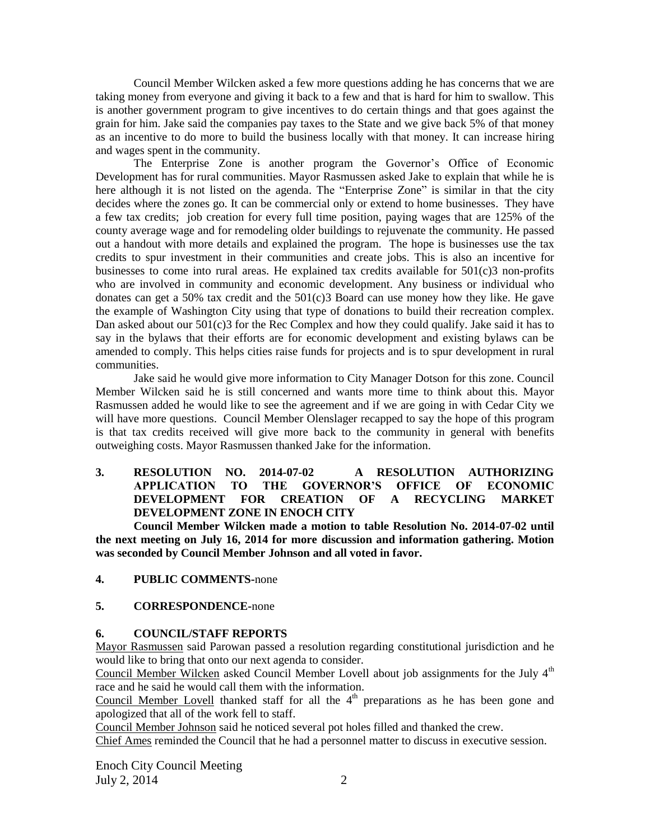Council Member Wilcken asked a few more questions adding he has concerns that we are taking money from everyone and giving it back to a few and that is hard for him to swallow. This is another government program to give incentives to do certain things and that goes against the grain for him. Jake said the companies pay taxes to the State and we give back 5% of that money as an incentive to do more to build the business locally with that money. It can increase hiring and wages spent in the community.

The Enterprise Zone is another program the Governor's Office of Economic Development has for rural communities. Mayor Rasmussen asked Jake to explain that while he is here although it is not listed on the agenda. The "Enterprise Zone" is similar in that the city decides where the zones go. It can be commercial only or extend to home businesses. They have a few tax credits; job creation for every full time position, paying wages that are 125% of the county average wage and for remodeling older buildings to rejuvenate the community. He passed out a handout with more details and explained the program. The hope is businesses use the tax credits to spur investment in their communities and create jobs. This is also an incentive for businesses to come into rural areas. He explained tax credits available for  $501(c)3$  non-profits who are involved in community and economic development. Any business or individual who donates can get a 50% tax credit and the 501(c)3 Board can use money how they like. He gave the example of Washington City using that type of donations to build their recreation complex. Dan asked about our 501(c)3 for the Rec Complex and how they could qualify. Jake said it has to say in the bylaws that their efforts are for economic development and existing bylaws can be amended to comply. This helps cities raise funds for projects and is to spur development in rural communities.

Jake said he would give more information to City Manager Dotson for this zone. Council Member Wilcken said he is still concerned and wants more time to think about this. Mayor Rasmussen added he would like to see the agreement and if we are going in with Cedar City we will have more questions. Council Member Olenslager recapped to say the hope of this program is that tax credits received will give more back to the community in general with benefits outweighing costs. Mayor Rasmussen thanked Jake for the information.

## **3. RESOLUTION NO. 2014-07-02 A RESOLUTION AUTHORIZING APPLICATION TO THE GOVERNOR'S OFFICE OF ECONOMIC DEVELOPMENT FOR CREATION OF A RECYCLING MARKET DEVELOPMENT ZONE IN ENOCH CITY**

**Council Member Wilcken made a motion to table Resolution No. 2014-07-02 until the next meeting on July 16, 2014 for more discussion and information gathering. Motion was seconded by Council Member Johnson and all voted in favor.**

# **4. PUBLIC COMMENTS-**none

# **5. CORRESPONDENCE-**none

### **6. COUNCIL/STAFF REPORTS**

Mayor Rasmussen said Parowan passed a resolution regarding constitutional jurisdiction and he would like to bring that onto our next agenda to consider.

Council Member Wilcken asked Council Member Lovell about job assignments for the July 4<sup>th</sup> race and he said he would call them with the information.

Council Member Lovell thanked staff for all the  $4<sup>th</sup>$  preparations as he has been gone and apologized that all of the work fell to staff.

Council Member Johnson said he noticed several pot holes filled and thanked the crew.

Chief Ames reminded the Council that he had a personnel matter to discuss in executive session.

Enoch City Council Meeting July 2, 2014 2